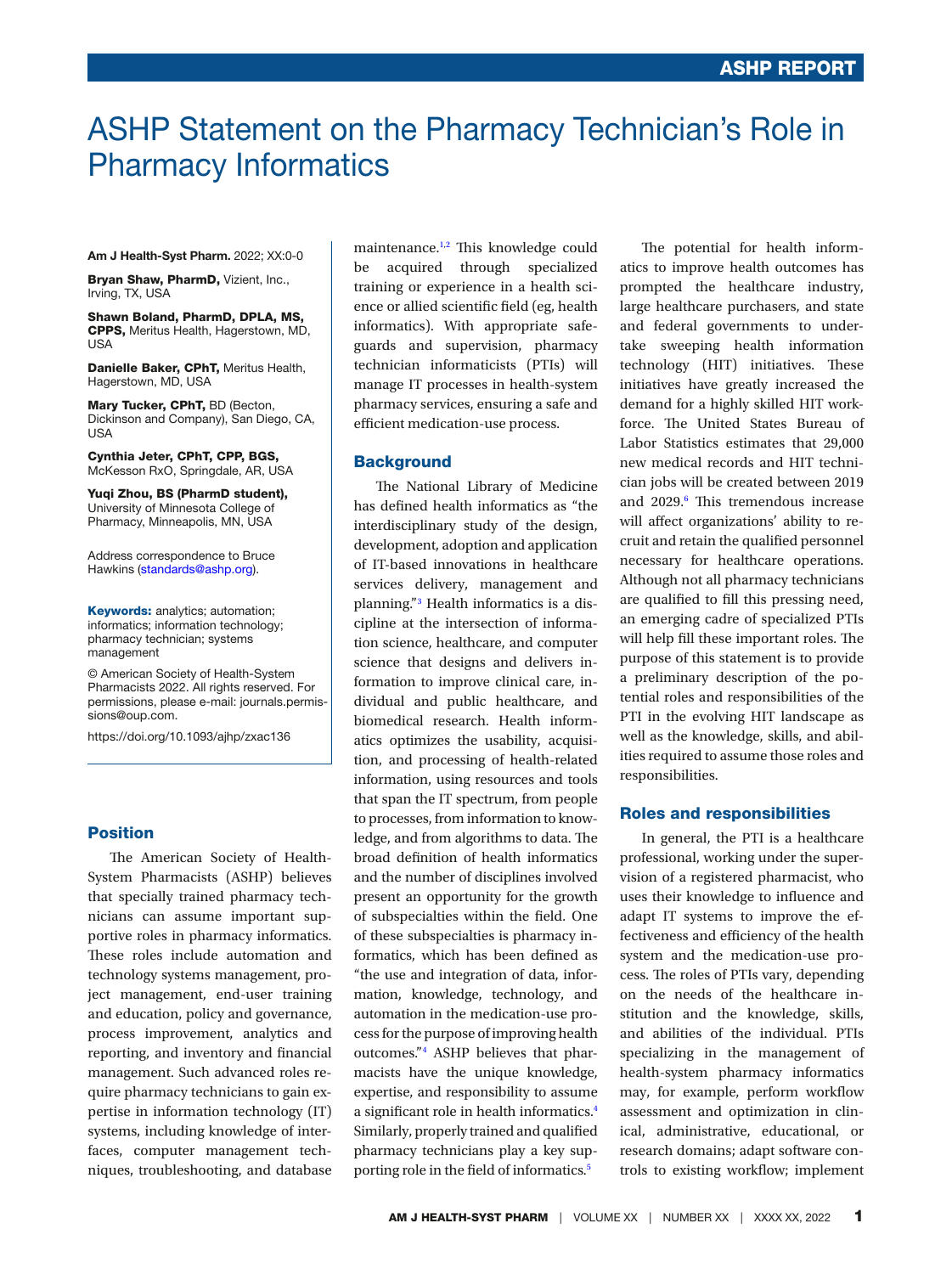# ASHP Statement on the Pharmacy Technician's Role in Pharmacy Informatics

Am J Health-Syst Pharm. 2022; XX:0-0

Bryan Shaw, PharmD, Vizient, Inc., Irving, TX, USA

Shawn Boland, PharmD, DPLA, MS, CPPS, Meritus Health, Hagerstown, MD, USA

Danielle Baker, CPhT, Meritus Health, Hagerstown, MD, USA

Mary Tucker, CPhT, BD (Becton, Dickinson and Company), San Diego, CA, USA

Cynthia Jeter, CPhT, CPP, BGS, McKesson RxO, Springdale, AR, USA

Yuqi Zhou, BS (PharmD student), University of Minnesota College of Pharmacy, Minneapolis, MN, USA

Address correspondence to Bruce Hawkins ([standards@ashp.org](mailto:standards@ashp.org?subject=)).

**Keywords:** analytics; automation; informatics; information technology; pharmacy technician; systems management

© American Society of Health-System Pharmacists 2022. All rights reserved. For permissions, please e-mail: [journals.permis](mailto:journals.permissions@oup.com?subject=)[sions@oup.com](mailto:journals.permissions@oup.com?subject=).

https://doi.org/10.1093/ajhp/zxac136

### Position

The American Society of Health-System Pharmacists (ASHP) believes that specially trained pharmacy technicians can assume important supportive roles in pharmacy informatics. These roles include automation and technology systems management, project management, end-user training and education, policy and governance, process improvement, analytics and reporting, and inventory and fnancial management. Such advanced roles require pharmacy technicians to gain expertise in information technology (IT) systems, including knowledge of interfaces, computer management techniques, troubleshooting, and database

maintenance.<sup>1,2</sup> This knowledge could be acquired through specialized training or experience in a health science or allied scientifc feld (eg, health informatics). With appropriate safeguards and supervision, pharmacy technician informaticists (PTIs) will manage IT processes in health-system pharmacy services, ensuring a safe and efficient medication-use process.

#### **Background**

The National Library of Medicine has defned health informatics as "the interdisciplinary study of the design, development, adoption and application of IT-based innovations in healthcare services delivery, management and planning."<sup>3</sup> Health informatics is a discipline at the intersection of information science, healthcare, and computer science that designs and delivers information to improve clinical care, individual and public healthcare, and biomedical research. Health informatics optimizes the usability, acquisition, and processing of health-related information, using resources and tools that span the IT spectrum, from people to processes, from information to knowledge, and from algorithms to data. The broad defnition of health informatics and the number of disciplines involved present an opportunity for the growth of subspecialties within the feld. One of these subspecialties is pharmacy informatics, which has been defned as "the use and integration of data, information, knowledge, technology, and automation in the medication-use process for the purpose of improving health outcomes."4 ASHP believes that pharmacists have the unique knowledge, expertise, and responsibility to assume a signifcant role in health informatics.4 Similarly, properly trained and qualifed pharmacy technicians play a key supporting role in the feld of informatics.5

The potential for health informatics to improve health outcomes has prompted the healthcare industry, large healthcare purchasers, and state and federal governments to undertake sweeping health information technology (HIT) initiatives. These initiatives have greatly increased the demand for a highly skilled HIT workforce. The United States Bureau of Labor Statistics estimates that 29,000 new medical records and HIT technician jobs will be created between 2019 and 2029.<sup>6</sup> This tremendous increase will afect organizations' ability to recruit and retain the qualifed personnel necessary for healthcare operations. Although not all pharmacy technicians are qualifed to fll this pressing need, an emerging cadre of specialized PTIs will help fill these important roles. The purpose of this statement is to provide a preliminary description of the potential roles and responsibilities of the PTI in the evolving HIT landscape as well as the knowledge, skills, and abilities required to assume those roles and responsibilities.

#### Roles and responsibilities

In general, the PTI is a healthcare professional, working under the supervision of a registered pharmacist, who uses their knowledge to infuence and adapt IT systems to improve the effectiveness and efficiency of the health system and the medication-use process. The roles of PTIs vary, depending on the needs of the healthcare institution and the knowledge, skills, and abilities of the individual. PTIs specializing in the management of health-system pharmacy informatics may, for example, perform workflow assessment and optimization in clinical, administrative, educational, or research domains; adapt software controls to existing workflow; implement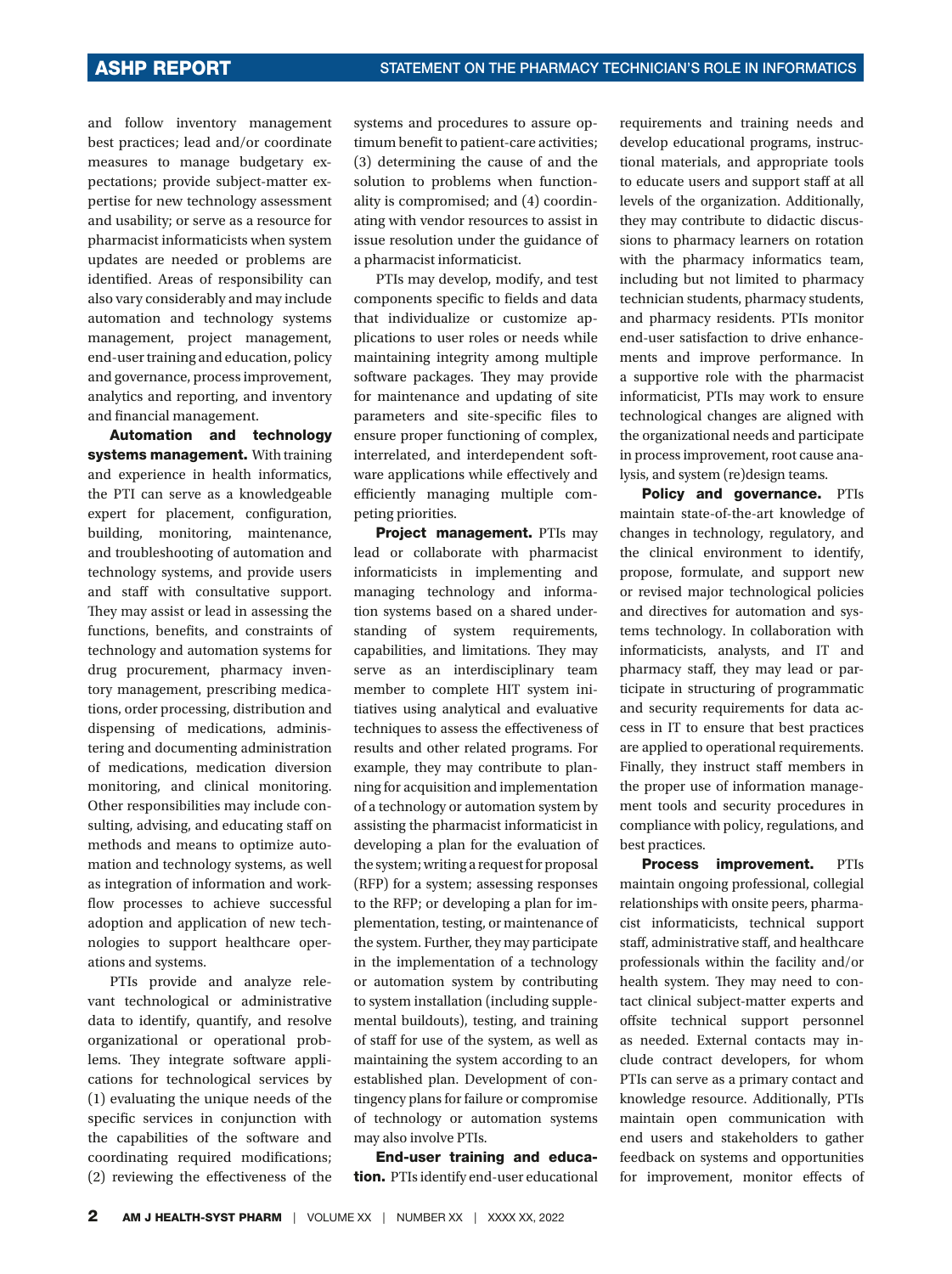and follow inventory management best practices; lead and/or coordinate measures to manage budgetary expectations; provide subject-matter expertise for new technology assessment and usability; or serve as a resource for pharmacist informaticists when system updates are needed or problems are identifed. Areas of responsibility can also vary considerably and may include automation and technology systems management, project management, end-user training and education, policy and governance, process improvement, analytics and reporting, and inventory and fnancial management.

Automation and technology systems management. With training and experience in health informatics, the PTI can serve as a knowledgeable expert for placement, confguration, building, monitoring, maintenance, and troubleshooting of automation and technology systems, and provide users and staff with consultative support. They may assist or lead in assessing the functions, benefts, and constraints of technology and automation systems for drug procurement, pharmacy inventory management, prescribing medications, order processing, distribution and dispensing of medications, administering and documenting administration of medications, medication diversion monitoring, and clinical monitoring. Other responsibilities may include consulting, advising, and educating staff on methods and means to optimize automation and technology systems, as well as integration of information and workflow processes to achieve successful adoption and application of new technologies to support healthcare operations and systems.

PTIs provide and analyze relevant technological or administrative data to identify, quantify, and resolve organizational or operational problems. They integrate software applications for technological services by (1) evaluating the unique needs of the specific services in conjunction with the capabilities of the software and coordinating required modifcations; (2) reviewing the efectiveness of the

systems and procedures to assure optimum benefit to patient-care activities; (3) determining the cause of and the solution to problems when functionality is compromised; and (4) coordinating with vendor resources to assist in issue resolution under the guidance of a pharmacist informaticist.

PTIs may develop, modify, and test components specific to fields and data that individualize or customize applications to user roles or needs while maintaining integrity among multiple software packages. They may provide for maintenance and updating of site parameters and site-specifc fles to ensure proper functioning of complex, interrelated, and interdependent software applications while efectively and efficiently managing multiple competing priorities.

Project management. PTIs may lead or collaborate with pharmacist informaticists in implementing and managing technology and information systems based on a shared understanding of system requirements, capabilities, and limitations. They may serve as an interdisciplinary team member to complete HIT system initiatives using analytical and evaluative techniques to assess the efectiveness of results and other related programs. For example, they may contribute to planning for acquisition and implementation of a technology or automation system by assisting the pharmacist informaticist in developing a plan for the evaluation of the system; writing a request for proposal (RFP) for a system; assessing responses to the RFP; or developing a plan for implementation, testing, or maintenance of the system. Further, they may participate in the implementation of a technology or automation system by contributing to system installation (including supplemental buildouts), testing, and training of staff for use of the system, as well as maintaining the system according to an established plan. Development of contingency plans for failure or compromise of technology or automation systems may also involve PTIs.

End-user training and education. PTIs identify end-user educational

requirements and training needs and develop educational programs, instructional materials, and appropriate tools to educate users and support staff at all levels of the organization. Additionally, they may contribute to didactic discussions to pharmacy learners on rotation with the pharmacy informatics team, including but not limited to pharmacy technician students, pharmacy students, and pharmacy residents. PTIs monitor end-user satisfaction to drive enhancements and improve performance. In a supportive role with the pharmacist informaticist, PTIs may work to ensure technological changes are aligned with the organizational needs and participate in process improvement, root cause analysis, and system (re)design teams.

Policy and governance. PTIs maintain state-of-the-art knowledge of changes in technology, regulatory, and the clinical environment to identify, propose, formulate, and support new or revised major technological policies and directives for automation and systems technology. In collaboration with informaticists, analysts, and IT and pharmacy staf, they may lead or participate in structuring of programmatic and security requirements for data access in IT to ensure that best practices are applied to operational requirements. Finally, they instruct staff members in the proper use of information management tools and security procedures in compliance with policy, regulations, and best practices.

Process improvement. PTIs maintain ongoing professional, collegial relationships with onsite peers, pharmacist informaticists, technical support staff, administrative staff, and healthcare professionals within the facility and/or health system. They may need to contact clinical subject-matter experts and offsite technical support personnel as needed. External contacts may include contract developers, for whom PTIs can serve as a primary contact and knowledge resource. Additionally, PTIs maintain open communication with end users and stakeholders to gather feedback on systems and opportunities for improvement, monitor efects of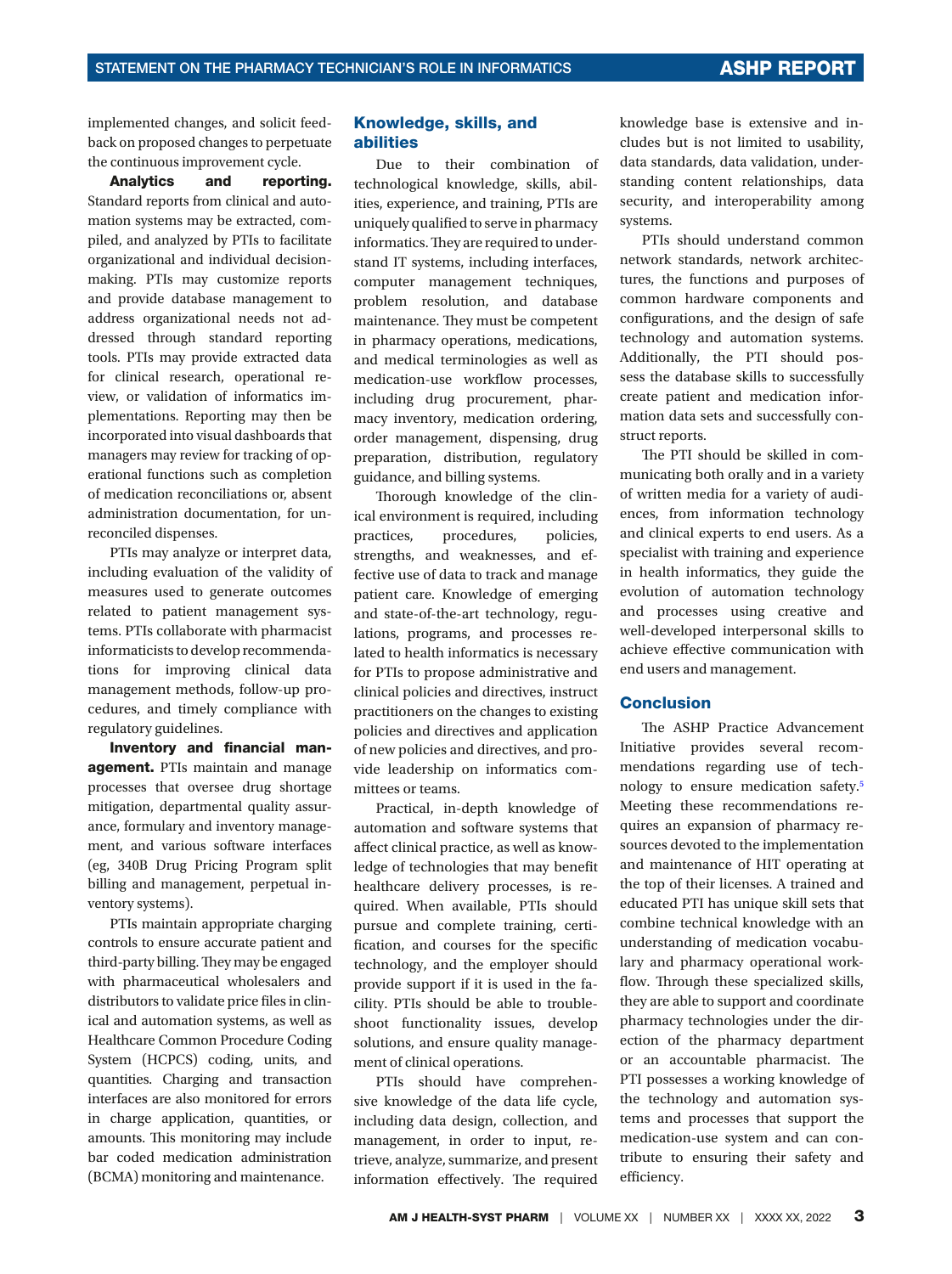implemented changes, and solicit feedback on proposed changes to perpetuate the continuous improvement cycle.

Analytics and reporting. Standard reports from clinical and automation systems may be extracted, compiled, and analyzed by PTIs to facilitate organizational and individual decisionmaking. PTIs may customize reports and provide database management to address organizational needs not addressed through standard reporting tools. PTIs may provide extracted data for clinical research, operational review, or validation of informatics implementations. Reporting may then be incorporated into visual dashboards that managers may review for tracking of operational functions such as completion of medication reconciliations or, absent administration documentation, for unreconciled dispenses.

PTIs may analyze or interpret data, including evaluation of the validity of measures used to generate outcomes related to patient management systems. PTIs collaborate with pharmacist informaticists to develop recommendations for improving clinical data management methods, follow-up procedures, and timely compliance with regulatory guidelines.

Inventory and financial management. PTIs maintain and manage processes that oversee drug shortage mitigation, departmental quality assurance, formulary and inventory management, and various software interfaces (eg, 340B Drug Pricing Program split billing and management, perpetual inventory systems).

PTIs maintain appropriate charging controls to ensure accurate patient and third-party billing. They may be engaged with pharmaceutical wholesalers and distributors to validate price fles in clinical and automation systems, as well as Healthcare Common Procedure Coding System (HCPCS) coding, units, and quantities. Charging and transaction interfaces are also monitored for errors in charge application, quantities, or amounts. This monitoring may include bar coded medication administration (BCMA) monitoring and maintenance.

## Knowledge, skills, and abilities

Due to their combination of technological knowledge, skills, abilities, experience, and training, PTIs are uniquely qualifed to serve in pharmacy informatics. They are required to understand IT systems, including interfaces, computer management techniques, problem resolution, and database maintenance. They must be competent in pharmacy operations, medications, and medical terminologies as well as medication-use workflow processes, including drug procurement, pharmacy inventory, medication ordering, order management, dispensing, drug preparation, distribution, regulatory guidance, and billing systems.

Thorough knowledge of the clinical environment is required, including practices, procedures, policies, strengths, and weaknesses, and effective use of data to track and manage patient care. Knowledge of emerging and state-of-the-art technology, regulations, programs, and processes related to health informatics is necessary for PTIs to propose administrative and clinical policies and directives, instruct practitioners on the changes to existing policies and directives and application of new policies and directives, and provide leadership on informatics committees or teams.

Practical, in-depth knowledge of automation and software systems that afect clinical practice, as well as knowledge of technologies that may beneft healthcare delivery processes, is required. When available, PTIs should pursue and complete training, certification, and courses for the specific technology, and the employer should provide support if it is used in the facility. PTIs should be able to troubleshoot functionality issues, develop solutions, and ensure quality management of clinical operations.

PTIs should have comprehensive knowledge of the data life cycle, including data design, collection, and management, in order to input, retrieve, analyze, summarize, and present information effectively. The required

knowledge base is extensive and includes but is not limited to usability, data standards, data validation, understanding content relationships, data security, and interoperability among systems.

PTIs should understand common network standards, network architectures, the functions and purposes of common hardware components and confgurations, and the design of safe technology and automation systems. Additionally, the PTI should possess the database skills to successfully create patient and medication information data sets and successfully construct reports.

The PTI should be skilled in communicating both orally and in a variety of written media for a variety of audiences, from information technology and clinical experts to end users. As a specialist with training and experience in health informatics, they guide the evolution of automation technology and processes using creative and well-developed interpersonal skills to achieve efective communication with end users and management.

### Conclusion

The ASHP Practice Advancement Initiative provides several recommendations regarding use of technology to ensure medication safety.5 Meeting these recommendations requires an expansion of pharmacy resources devoted to the implementation and maintenance of HIT operating at the top of their licenses. A trained and educated PTI has unique skill sets that combine technical knowledge with an understanding of medication vocabulary and pharmacy operational workflow. Through these specialized skills, they are able to support and coordinate pharmacy technologies under the direction of the pharmacy department or an accountable pharmacist. The PTI possesses a working knowledge of the technology and automation systems and processes that support the medication-use system and can contribute to ensuring their safety and efficiency.